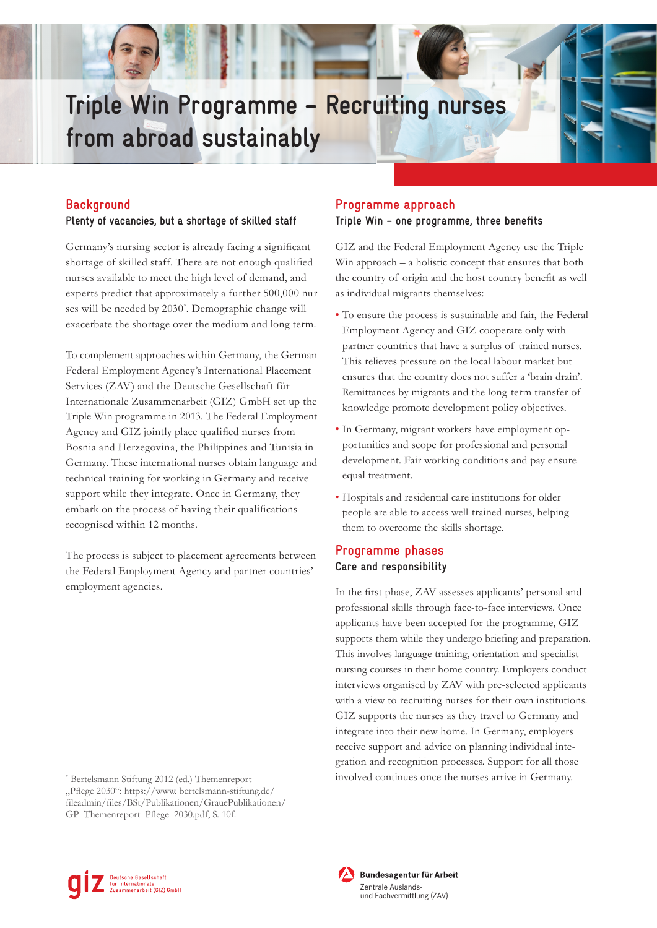# **Triple Win Programme – Recruiting nurses from abroad sustainably**

# **Background**

### **Plenty of vacancies, but a shortage of skilled staff**

Germany's nursing sector is already facing a significant shortage of skilled staff. There are not enough qualified nurses available to meet the high level of demand, and experts predict that approximately a further 500,000 nurses will be needed by 2030\* . Demographic change will exacerbate the shortage over the medium and long term.

To complement approaches within Germany, the German Federal Employment Agency's International Placement Services (ZAV) and the Deutsche Gesellschaft für Internationale Zusammenarbeit (GIZ) GmbH set up the Triple Win programme in 2013. The Federal Employment Agency and GIZ jointly place qualified nurses from Bosnia and Herzegovina, the Philippines and Tunisia in Germany. These international nurses obtain language and technical training for working in Germany and receive support while they integrate. Once in Germany, they embark on the process of having their qualifications recognised within 12 months.

The process is subject to placement agreements between the Federal Employment Agency and partner countries' employment agencies.

## **Programme approach**

#### **Triple Win – one programme, three benefits**

GIZ and the Federal Employment Agency use the Triple Win approach – a holistic concept that ensures that both the country of origin and the host country benefit as well as individual migrants themselves:

- To ensure the process is sustainable and fair, the Federal Employment Agency and GIZ cooperate only with partner countries that have a surplus of trained nurses. This relieves pressure on the local labour market but ensures that the country does not suffer a 'brain drain'. Remittances by migrants and the long-term transfer of knowledge promote development policy objectives.
- In Germany, migrant workers have employment opportunities and scope for professional and personal development. Fair working conditions and pay ensure equal treatment.
- Hospitals and residential care institutions for older people are able to access well-trained nurses, helping them to overcome the skills shortage.

# **Programme phases Care and responsibility**

In the first phase, ZAV assesses applicants' personal and professional skills through face-to-face interviews. Once applicants have been accepted for the programme, GIZ supports them while they undergo briefing and preparation. This involves language training, orientation and specialist nursing courses in their home country. Employers conduct interviews organised by ZAV with pre-selected applicants with a view to recruiting nurses for their own institutions. GIZ supports the nurses as they travel to Germany and integrate into their new home. In Germany, employers receive support and advice on planning individual integration and recognition processes. Support for all those involved continues once the nurses arrive in Germany.





Bundesagentur für Arbeit

<sup>\*</sup> Bertelsmann Stiftung 2012 (ed.) Themenreport "Pflege 2030": https://www. bertelsmann-stiftung.de/ fileadmin/files/BSt/Publikationen/GrauePublikationen/ GP\_Themenreport\_Pflege\_2030.pdf, S. 10f.